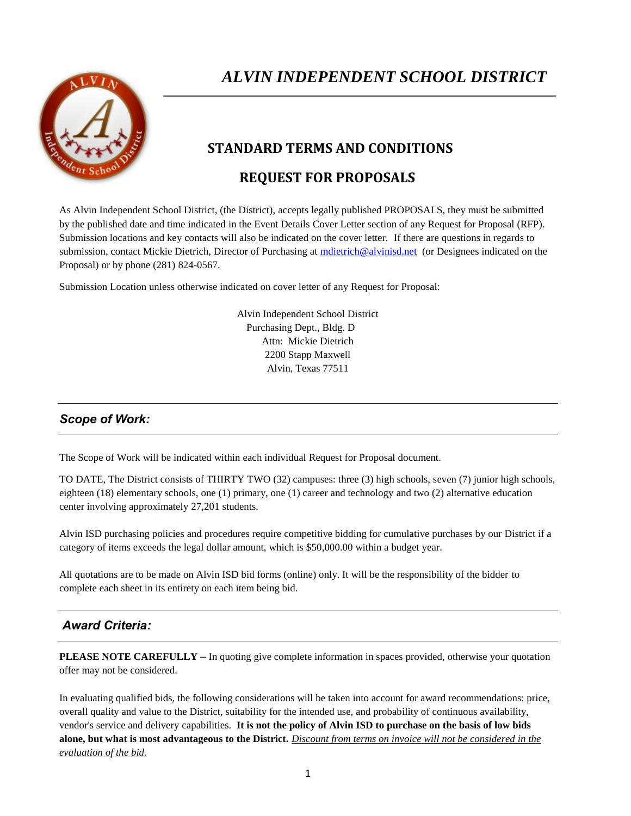

# *ALVIN INDEPENDENT SCHOOL DISTRICT*

### **STANDARD TERMS AND CONDITIONS**

## **REQUEST FOR PROPOSALS**

As Alvin Independent School District, (the District), accepts legally published PROPOSALS, they must be submitted by the published date and time indicated in the Event Details Cover Letter section of any Request for Proposal (RFP). Submission locations and key contacts will also be indicated on the cover letter. If there are questions in regards to submission, contact Mickie Dietrich, Director of Purchasing at [mdietrich@alvinisd.net](mailto:mdietrich@alvinisd.net) (or Designees indicated on the Proposal) or by phone (281) 824-0567.

Submission Location unless otherwise indicated on cover letter of any Request for Proposal:

Alvin Independent School District Purchasing Dept., Bldg. D Attn: Mickie Dietrich 2200 Stapp Maxwell Alvin, Texas 77511

#### *Scope of Work:*

The Scope of Work will be indicated within each individual Request for Proposal document.

TO DATE, The District consists of THIRTY TWO (32) campuses: three (3) high schools, seven (7) junior high schools, eighteen (18) elementary schools, one (1) primary, one (1) career and technology and two (2) alternative education center involving approximately 27,201 students.

Alvin ISD purchasing policies and procedures require competitive bidding for cumulative purchases by our District if a category of items exceeds the legal dollar amount, which is \$50,000.00 within a budget year.

All quotations are to be made on Alvin ISD bid forms (online) only. It will be the responsibility of the bidder to complete each sheet in its entirety on each item being bid.

#### *Award Criteria:*

**PLEASE NOTE CAREFULLY** *–* In quoting give complete information in spaces provided, otherwise your quotation offer may not be considered.

In evaluating qualified bids, the following considerations will be taken into account for award recommendations: price, overall quality and value to the District, suitability for the intended use, and probability of continuous availability, vendor's service and delivery capabilities. **It is not the policy of Alvin ISD to purchase on the basis of low bids alone, but what is most advantageous to the District.** *Discount from terms on invoice will not be considered in the evaluation of the bid.*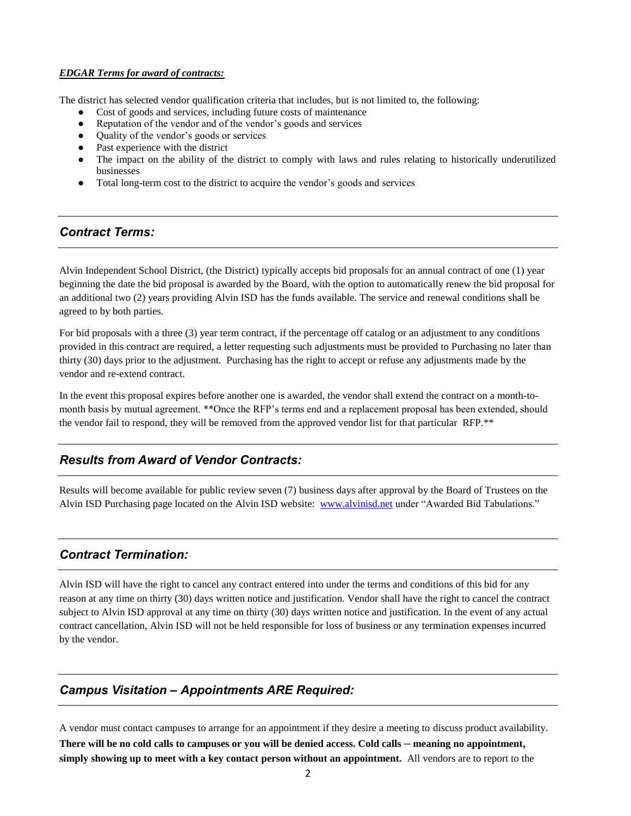#### *EDGAR Terms for award of contracts:*

The district has selected vendor qualification criteria that includes, but is not limited to, the following:

- Cost of goods and services, including future costs of maintenance
- Reputation of the vendor and of the vendor's goods and services
- Quality of the vendor's goods or services
- Past experience with the district
- The impact on the ability of the district to comply with laws and rules relating to historically underutilized businesses
- Total long-term cost to the district to acquire the vendor's goods and services

#### *Contract Terms:*

Alvin Independent School District, (the District) typically accepts bid proposals for an annual contract of one (1) year beginning the date the bid proposal is awarded by the Board, with the option to automatically renew the bid proposal for an additional two (2) years providing Alvin ISD has the funds available. The service and renewal conditions shall be agreed to by both parties.

For bid proposals with a three (3) year term contract, if the percentage off catalog or an adjustment to any conditions provided in this contract are required, a letter requesting such adjustments must be provided to Purchasing no later than thirty (30) days prior to the adjustment. Purchasing has the right to accept or refuse any adjustments made by the vendor and re-extend contract.

In the event this proposal expires before another one is awarded, the vendor shall extend the contract on a month-tomonth basis by mutual agreement. \*\*Once the RFP's terms end and a replacement proposal has been extended, should the vendor fail to respond, they will be removed from the approved vendor list for that particular RFP.\*\*

#### *Results from Award of Vendor Contracts:*

Results will become available for public review seven (7) business days after approval by the Board of Trustees on the Alvin ISD Purchasing page located on the Alvin ISD website: [www.alvinisd.net](http://www.alvinisd.net/) under "Awarded Bid Tabulations."

#### *Contract Termination:*

Alvin ISD will have the right to cancel any contract entered into under the terms and conditions of this bid for any reason at any time on thirty (30) days written notice and justification. Vendor shall have the right to cancel the contract subject to Alvin ISD approval at any time on thirty (30) days written notice and justification. In the event of any actual contract cancellation, Alvin ISD will not be held responsible for loss of business or any termination expenses incurred by the vendor.

### *Campus Visitation – Appointments ARE Required:*

A vendor must contact campuses to arrange for an appointment if they desire a meeting to discuss product availability. **There will be no cold calls to campuses or you will be denied access. Cold calls** *–* **meaning no appointment, simply showing up to meet with a key contact person without an appointment.** All vendors are to report to the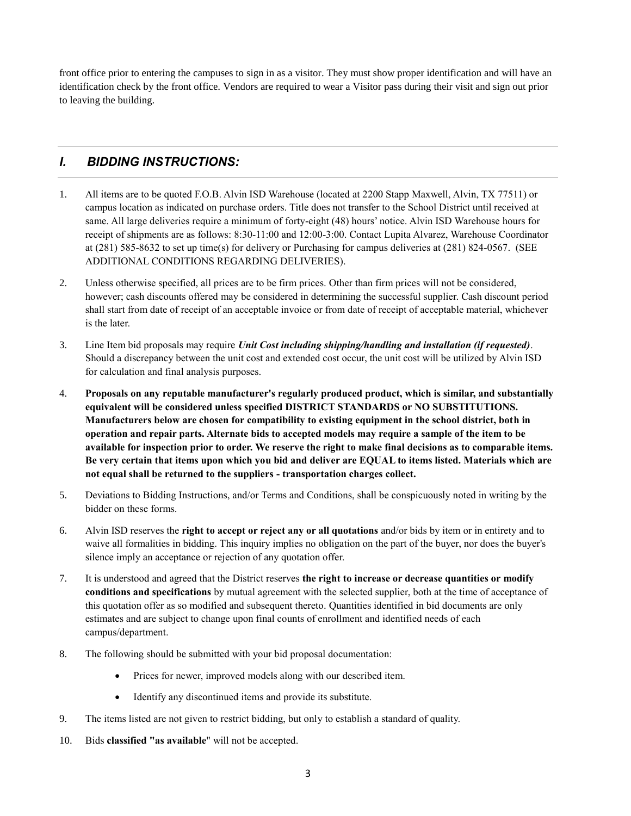front office prior to entering the campuses to sign in as a visitor. They must show proper identification and will have an identification check by the front office. Vendors are required to wear a Visitor pass during their visit and sign out prior to leaving the building.

#### *I. BIDDING INSTRUCTIONS:*

- 1. All items are to be quoted F.O.B. Alvin ISD Warehouse (located at 2200 Stapp Maxwell, Alvin, TX 77511) or campus location as indicated on purchase orders. Title does not transfer to the School District until received at same. All large deliveries require a minimum of forty-eight (48) hours' notice. Alvin ISD Warehouse hours for receipt of shipments are as follows: 8:30-11:00 and 12:00-3:00. Contact Lupita Alvarez, Warehouse Coordinator at (281) 585-8632 to set up time(s) for delivery or Purchasing for campus deliveries at (281) 824-0567. (SEE ADDITIONAL CONDITIONS REGARDING DELIVERIES).
- 2. Unless otherwise specified, all prices are to be firm prices. Other than firm prices will not be considered, however; cash discounts offered may be considered in determining the successful supplier. Cash discount period shall start from date of receipt of an acceptable invoice or from date of receipt of acceptable material, whichever is the later.
- 3. Line Item bid proposals may require *Unit Cost including shipping/handling and installation (if requested)*. Should a discrepancy between the unit cost and extended cost occur, the unit cost will be utilized by Alvin ISD for calculation and final analysis purposes.
- 4. **Proposals on any reputable manufacturer's regularly produced product, which is similar, and substantially equivalent will be considered unless specified DISTRICT STANDARDS or NO SUBSTITUTIONS. Manufacturers below are chosen for compatibility to existing equipment in the school district, both in operation and repair parts. Alternate bids to accepted models may require a sample of the item to be available for inspection prior to order. We reserve the right to make final decisions as to comparable items. Be very certain that items upon which you bid and deliver are EQUAL to items listed. Materials which are not equal shall be returned to the suppliers - transportation charges collect.**
- 5. Deviations to Bidding Instructions, and/or Terms and Conditions, shall be conspicuously noted in writing by the bidder on these forms.
- 6. Alvin ISD reserves the **right to accept or reject any or all quotations** and/or bids by item or in entirety and to waive all formalities in bidding. This inquiry implies no obligation on the part of the buyer, nor does the buyer's silence imply an acceptance or rejection of any quotation offer.
- 7. It is understood and agreed that the District reserves **the right to increase or decrease quantities or modify conditions and specifications** by mutual agreement with the selected supplier, both at the time of acceptance of this quotation offer as so modified and subsequent thereto. Quantities identified in bid documents are only estimates and are subject to change upon final counts of enrollment and identified needs of each campus/department.
- 8. The following should be submitted with your bid proposal documentation:
	- Prices for newer, improved models along with our described item.
	- Identify any discontinued items and provide its substitute.
- 9. The items listed are not given to restrict bidding, but only to establish a standard of quality.
- 10. Bids **classified "as available**" will not be accepted.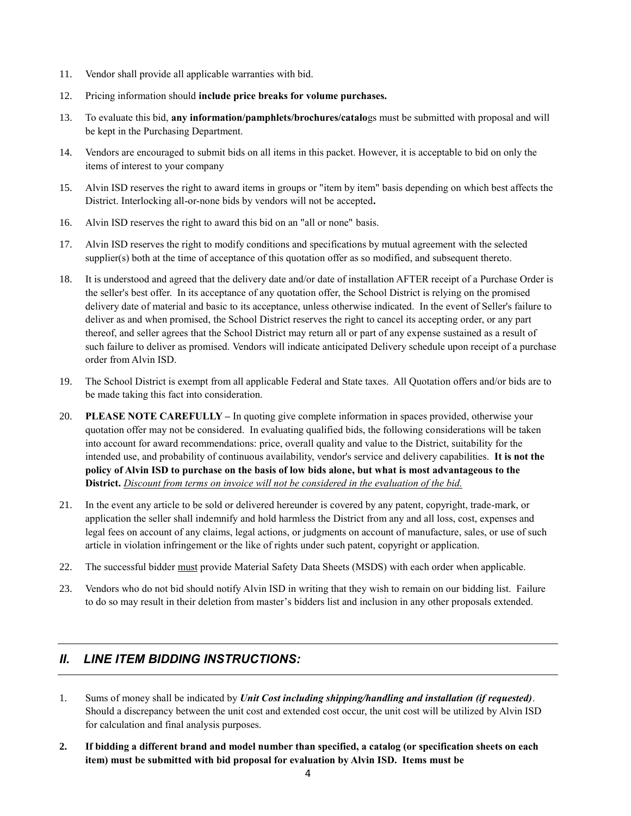- 11. Vendor shall provide all applicable warranties with bid.
- 12. Pricing information should **include price breaks for volume purchases.**
- 13. To evaluate this bid, **any information/pamphlets/brochures/catalo**gs must be submitted with proposal and will be kept in the Purchasing Department.
- 14. Vendors are encouraged to submit bids on all items in this packet. However, it is acceptable to bid on only the items of interest to your company
- 15. Alvin ISD reserves the right to award items in groups or "item by item" basis depending on which best affects the District. Interlocking all-or-none bids by vendors will not be accepted**.**
- 16. Alvin ISD reserves the right to award this bid on an "all or none" basis.
- 17. Alvin ISD reserves the right to modify conditions and specifications by mutual agreement with the selected supplier(s) both at the time of acceptance of this quotation offer as so modified, and subsequent thereto.
- 18. It is understood and agreed that the delivery date and/or date of installation AFTER receipt of a Purchase Order is the seller's best offer. In its acceptance of any quotation offer, the School District is relying on the promised delivery date of material and basic to its acceptance, unless otherwise indicated. In the event of Seller's failure to deliver as and when promised, the School District reserves the right to cancel its accepting order, or any part thereof, and seller agrees that the School District may return all or part of any expense sustained as a result of such failure to deliver as promised. Vendors will indicate anticipated Delivery schedule upon receipt of a purchase order from Alvin ISD.
- 19. The School District is exempt from all applicable Federal and State taxes. All Quotation offers and/or bids are to be made taking this fact into consideration.
- 20. **PLEASE NOTE CAREFULLY** *–* In quoting give complete information in spaces provided, otherwise your quotation offer may not be considered. In evaluating qualified bids, the following considerations will be taken into account for award recommendations: price, overall quality and value to the District, suitability for the intended use, and probability of continuous availability, vendor's service and delivery capabilities. **It is not the policy of Alvin ISD to purchase on the basis of low bids alone, but what is most advantageous to the District.** *Discount from terms on invoice will not be considered in the evaluation of the bid.*
- 21. In the event any article to be sold or delivered hereunder is covered by any patent, copyright, trade-mark, or application the seller shall indemnify and hold harmless the District from any and all loss, cost, expenses and legal fees on account of any claims, legal actions, or judgments on account of manufacture, sales, or use of such article in violation infringement or the like of rights under such patent, copyright or application.
- 22. The successful bidder must provide Material Safety Data Sheets (MSDS) with each order when applicable.
- 23. Vendors who do not bid should notify Alvin ISD in writing that they wish to remain on our bidding list. Failure to do so may result in their deletion from master's bidders list and inclusion in any other proposals extended.

#### *II. LINE ITEM BIDDING INSTRUCTIONS:*

- 1. Sums of money shall be indicated by *Unit Cost including shipping/handling and installation (if requested)*. Should a discrepancy between the unit cost and extended cost occur, the unit cost will be utilized by Alvin ISD for calculation and final analysis purposes.
- **2. If bidding a different brand and model number than specified, a catalog (or specification sheets on each item) must be submitted with bid proposal for evaluation by Alvin ISD. Items must be**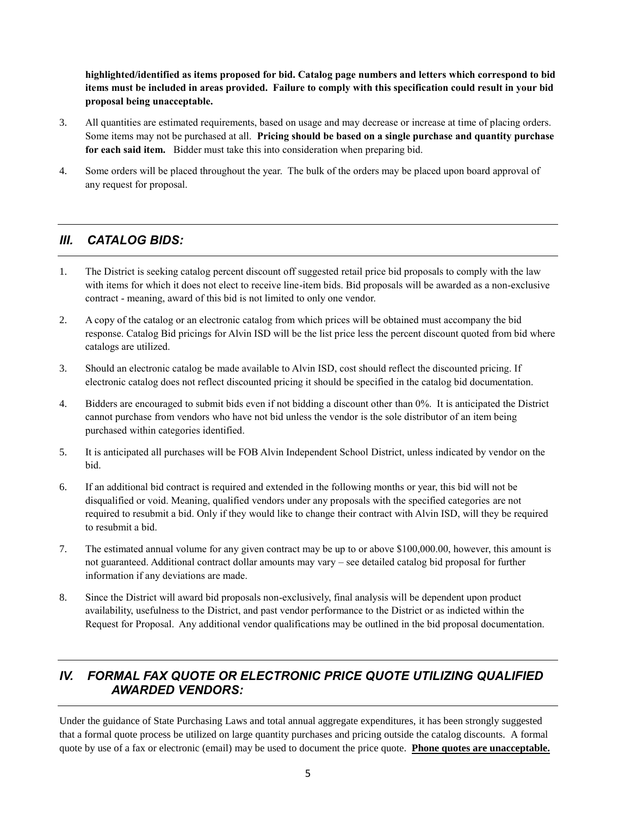**highlighted/identified as items proposed for bid. Catalog page numbers and letters which correspond to bid items must be included in areas provided. Failure to comply with this specification could result in your bid proposal being unacceptable.**

- 3. All quantities are estimated requirements, based on usage and may decrease or increase at time of placing orders. Some items may not be purchased at all. **Pricing should be based on a single purchase and quantity purchase for each said item.** Bidder must take this into consideration when preparing bid.
- 4. Some orders will be placed throughout the year. The bulk of the orders may be placed upon board approval of any request for proposal.

#### *III. CATALOG BIDS:*

- 1. The District is seeking catalog percent discount off suggested retail price bid proposals to comply with the law with items for which it does not elect to receive line-item bids. Bid proposals will be awarded as a non-exclusive contract - meaning, award of this bid is not limited to only one vendor.
- 2. A copy of the catalog or an electronic catalog from which prices will be obtained must accompany the bid response. Catalog Bid pricings for Alvin ISD will be the list price less the percent discount quoted from bid where catalogs are utilized.
- 3. Should an electronic catalog be made available to Alvin ISD, cost should reflect the discounted pricing. If electronic catalog does not reflect discounted pricing it should be specified in the catalog bid documentation.
- 4. Bidders are encouraged to submit bids even if not bidding a discount other than 0%. It is anticipated the District cannot purchase from vendors who have not bid unless the vendor is the sole distributor of an item being purchased within categories identified.
- 5. It is anticipated all purchases will be FOB Alvin Independent School District, unless indicated by vendor on the bid.
- 6. If an additional bid contract is required and extended in the following months or year, this bid will not be disqualified or void. Meaning, qualified vendors under any proposals with the specified categories are not required to resubmit a bid. Only if they would like to change their contract with Alvin ISD, will they be required to resubmit a bid.
- 7. The estimated annual volume for any given contract may be up to or above \$100,000.00, however, this amount is not guaranteed. Additional contract dollar amounts may vary – see detailed catalog bid proposal for further information if any deviations are made.
- 8. Since the District will award bid proposals non-exclusively, final analysis will be dependent upon product availability, usefulness to the District, and past vendor performance to the District or as indicted within the Request for Proposal. Any additional vendor qualifications may be outlined in the bid proposal documentation.

### *IV. FORMAL FAX QUOTE OR ELECTRONIC PRICE QUOTE UTILIZING QUALIFIED AWARDED VENDORS:*

Under the guidance of State Purchasing Laws and total annual aggregate expenditures, it has been strongly suggested that a formal quote process be utilized on large quantity purchases and pricing outside the catalog discounts. A formal quote by use of a fax or electronic (email) may be used to document the price quote. **Phone quotes are unacceptable.**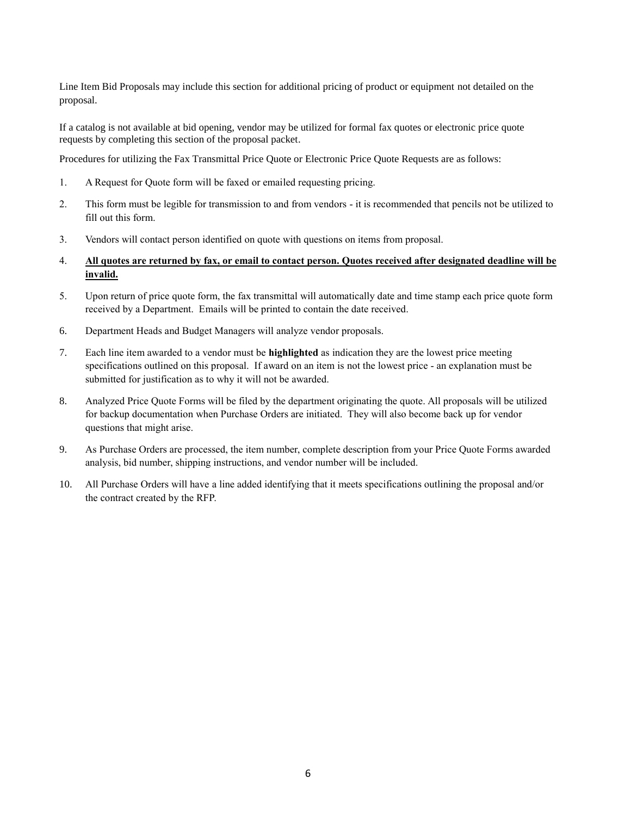Line Item Bid Proposals may include this section for additional pricing of product or equipment not detailed on the proposal.

If a catalog is not available at bid opening, vendor may be utilized for formal fax quotes or electronic price quote requests by completing this section of the proposal packet.

Procedures for utilizing the Fax Transmittal Price Quote or Electronic Price Quote Requests are as follows:

- 1. A Request for Quote form will be faxed or emailed requesting pricing.
- 2. This form must be legible for transmission to and from vendors it is recommended that pencils not be utilized to fill out this form.
- 3. Vendors will contact person identified on quote with questions on items from proposal.
- 4. **All quotes are returned by fax, or email to contact person. Quotes received after designated deadline will be invalid.**
- 5. Upon return of price quote form, the fax transmittal will automatically date and time stamp each price quote form received by a Department. Emails will be printed to contain the date received.
- 6. Department Heads and Budget Managers will analyze vendor proposals.
- 7. Each line item awarded to a vendor must be **highlighted** as indication they are the lowest price meeting specifications outlined on this proposal. If award on an item is not the lowest price - an explanation must be submitted for justification as to why it will not be awarded.
- 8. Analyzed Price Quote Forms will be filed by the department originating the quote. All proposals will be utilized for backup documentation when Purchase Orders are initiated. They will also become back up for vendor questions that might arise.
- 9. As Purchase Orders are processed, the item number, complete description from your Price Quote Forms awarded analysis, bid number, shipping instructions, and vendor number will be included.
- 10. All Purchase Orders will have a line added identifying that it meets specifications outlining the proposal and/or the contract created by the RFP.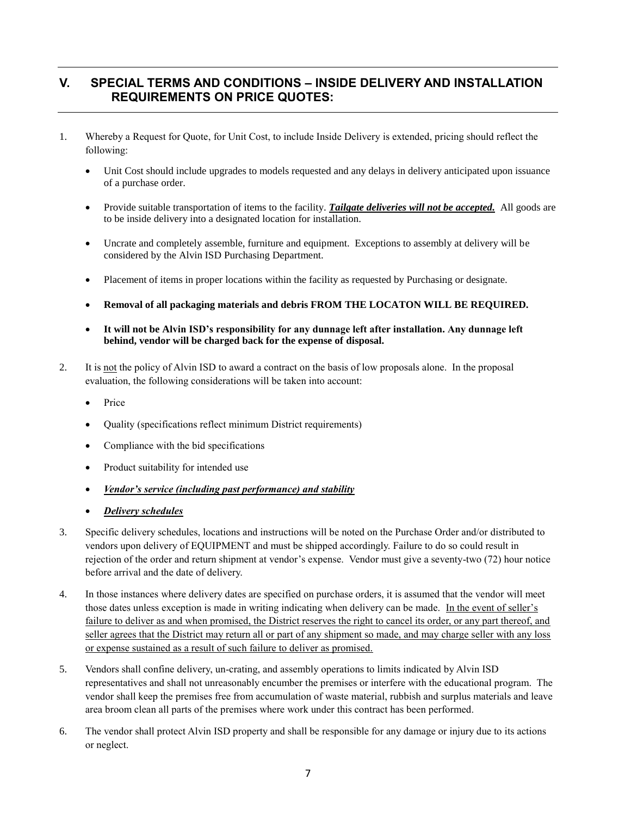#### **V. SPECIAL TERMS AND CONDITIONS – INSIDE DELIVERY AND INSTALLATION REQUIREMENTS ON PRICE QUOTES:**

- 1. Whereby a Request for Quote, for Unit Cost, to include Inside Delivery is extended, pricing should reflect the following:
	- Unit Cost should include upgrades to models requested and any delays in delivery anticipated upon issuance of a purchase order.
	- Provide suitable transportation of items to the facility. *Tailgate deliveries will not be accepted.* All goods are to be inside delivery into a designated location for installation.
	- Uncrate and completely assemble, furniture and equipment. Exceptions to assembly at delivery will be considered by the Alvin ISD Purchasing Department.
	- Placement of items in proper locations within the facility as requested by Purchasing or designate.
	- **Removal of all packaging materials and debris FROM THE LOCATON WILL BE REQUIRED.**
	- **It will not be Alvin ISD's responsibility for any dunnage left after installation. Any dunnage left behind, vendor will be charged back for the expense of disposal.**
- 2. It is not the policy of Alvin ISD to award a contract on the basis of low proposals alone. In the proposal evaluation, the following considerations will be taken into account:
	- Price
	- Quality (specifications reflect minimum District requirements)
	- Compliance with the bid specifications
	- Product suitability for intended use
	- *Vendor's service (including past performance) and stability*
	- *Delivery schedules*
- 3. Specific delivery schedules, locations and instructions will be noted on the Purchase Order and/or distributed to vendors upon delivery of EQUIPMENT and must be shipped accordingly. Failure to do so could result in rejection of the order and return shipment at vendor's expense. Vendor must give a seventy-two (72) hour notice before arrival and the date of delivery.
- 4. In those instances where delivery dates are specified on purchase orders, it is assumed that the vendor will meet those dates unless exception is made in writing indicating when delivery can be made. In the event of seller's failure to deliver as and when promised, the District reserves the right to cancel its order, or any part thereof, and seller agrees that the District may return all or part of any shipment so made, and may charge seller with any loss or expense sustained as a result of such failure to deliver as promised.
- 5. Vendors shall confine delivery, un-crating, and assembly operations to limits indicated by Alvin ISD representatives and shall not unreasonably encumber the premises or interfere with the educational program. The vendor shall keep the premises free from accumulation of waste material, rubbish and surplus materials and leave area broom clean all parts of the premises where work under this contract has been performed.
- 6. The vendor shall protect Alvin ISD property and shall be responsible for any damage or injury due to its actions or neglect.